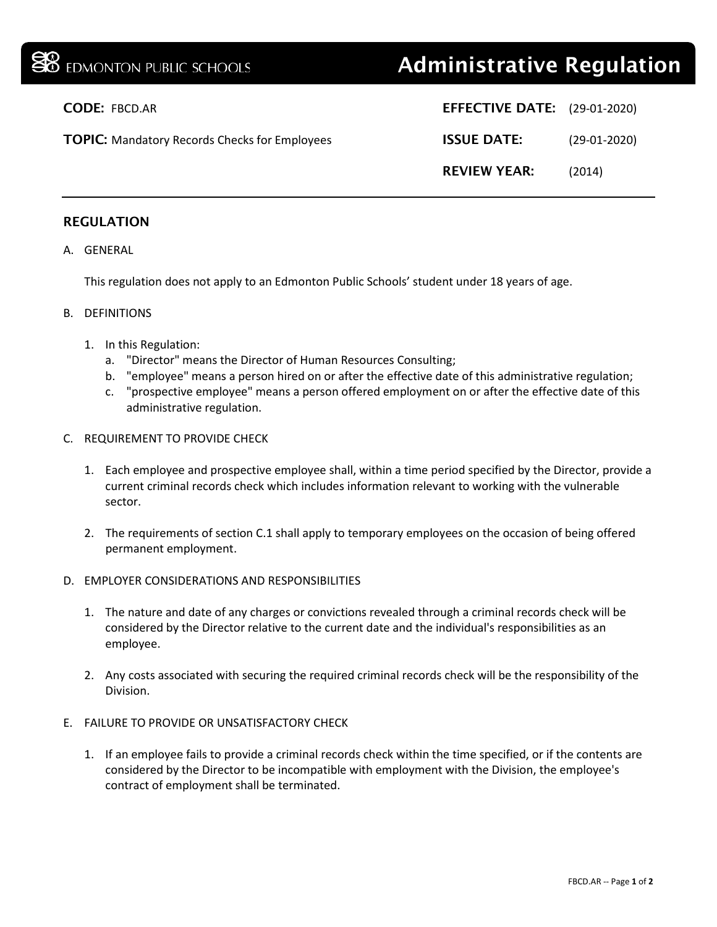| <b>BB</b> EDMONTON PUBLIC SCHOOLS                    | <b>Administrative Regulation</b>    |                |
|------------------------------------------------------|-------------------------------------|----------------|
| <b>CODE: FBCD.AR</b>                                 | <b>EFFECTIVE DATE:</b> (29-01-2020) |                |
| <b>TOPIC:</b> Mandatory Records Checks for Employees | <b>ISSUE DATE:</b>                  | $(29-01-2020)$ |
|                                                      | <b>REVIEW YEAR:</b>                 | (2014)         |
|                                                      |                                     |                |

## REGULATION

A. GENERAL

This regulation does not apply to an Edmonton Public Schools' student under 18 years of age.

- B. DEFINITIONS
	- 1. In this Regulation:
		- a. "Director" means the Director of Human Resources Consulting;
		- b. "employee" means a person hired on or after the effective date of this administrative regulation;
		- c. "prospective employee" means a person offered employment on or after the effective date of this administrative regulation.
- C. REQUIREMENT TO PROVIDE CHECK
	- 1. Each employee and prospective employee shall, within a time period specified by the Director, provide a current criminal records check which includes information relevant to working with the vulnerable sector.
	- 2. The requirements of section C.1 shall apply to temporary employees on the occasion of being offered permanent employment.
- D. EMPLOYER CONSIDERATIONS AND RESPONSIBILITIES
	- 1. The nature and date of any charges or convictions revealed through a criminal records check will be considered by the Director relative to the current date and the individual's responsibilities as an employee.
	- 2. Any costs associated with securing the required criminal records check will be the responsibility of the Division.
- E. FAILURE TO PROVIDE OR UNSATISFACTORY CHECK
	- 1. If an employee fails to provide a criminal records check within the time specified, or if the contents are considered by the Director to be incompatible with employment with the Division, the employee's contract of employment shall be terminated.